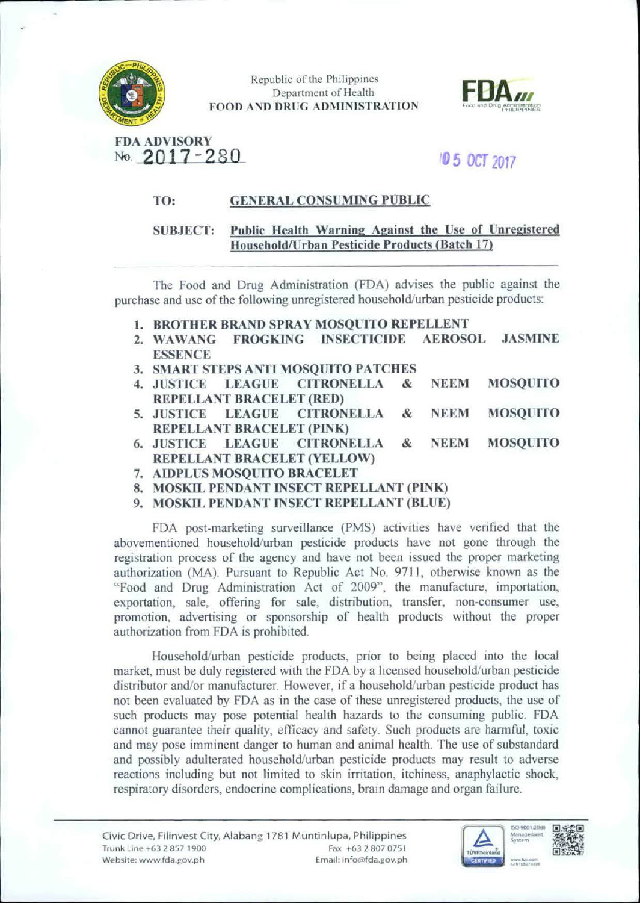

Republic of the Philippines<br>Department of Health **FDA** FOOD AND DRUG ADMINISTRATION



# FDA ADVISORY No. **2 0 1 7 -** 2 8 **0** *10* **5** OCT *<sup>2017</sup>*

## TO: GENERAL CONSUMJNG PUBLIC

### SUBJECT: Public Health Warning Against the Use of Unregistered Household/Urban Pesticide Products (Batch 17)

The Food and Drug Administration (FDA) advises the public against the purchase and use of the following unregistered household/urban pesticide products:

- 1. BROTHER BRAND SPRAY MOSQUITO REPELLENT
- 2. WAWANG FROGKING INSECTICIDE AEROSOL JASMINE **ESSENCE**
- 3. SMART STEPS ANTI MOSQUITO PATCHES
- 4. JUSTICE LEAGUE CITRONELLA & NEEM MOSQUITO REPELLANT BRACELET (RED)
- 5. JUSTICE LEAGUE CITRONELLA & NEEM MOSQUITO REPELLANT BRACELET (PINK)
- 6. JUSTICE LEAGUE CITRONELLA & NEEM MOSQUITO REPELLANT BRACELET (YELLOW)
- 7. AIDPLUS MOSQUITO BRACELET
- 8. MOSKIL PENDANT INSECT REPELLANT (PINK)
- 9. MOSKIL PENDANT INSECT REPELLANT (BLUE)

FDA post-marketing surveillance (PMS) activities have verified that the abovementioned household/urban pesticide products have not gone through the registration process of the agency and have not been issued the proper marketing authorization (MA). Pursuant to Republic Act No. 9711, otherwise known as the "Food and Drug Administration Act of 2009", the manufacture, importation. exportation, sale, offering for sale, distribution, transfer, non-consumer use, promotion, advertising or sponsorship of health products without the proper authorization from FDA is prohibited.

Household/urban pesticide products, prior to being placed into the local market, must be duly registered with the FDA by a licensed bousehold/urban pesticide distributor and/or manufacturer. However, if a household/urban pesticide product has not been evaluated by FDA as in the case of these unregistered products, the use of such products may pose potential health hazards to the consuming public. FDA cannot guarantee their quality, efficacy and safety. Such products are harmful, toxic and may pose imminent danger to human and animal hea1th. The use of substandard and possibly adulterated household/urban pesticide products may result to adverse reactions including but not limited to skin irritation, itchiness, anaphylactic shock, respiratory disorders, endocrine complications, brain damage and organ failure.



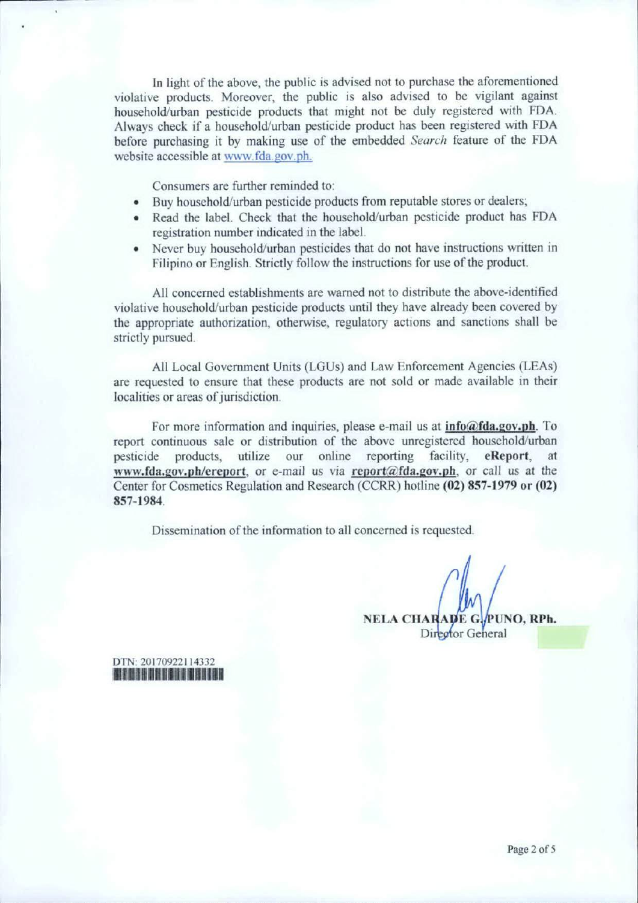In light of the above, the public is advised not to purchase the aforementioned violative products. Moreover, the public is also advised to be vigilant against household/urban pesticide products that might not be duly registered with FDA. Always check if a household/urban pesticide product has been registered with FDA before purchasing it by making use of the embedded *Search* feature of the FDA website accessible at www.fda.gov.ph.

Consumers are further reminded to:

- Buy household/urban pesticide products from reputable stores or dealers;
- Read the label. Check that the household/urban pesticide product has FDA registration number indicated in the label.
- Never buy household/urban pesticides that do not have instructions written in Filipino or English. Strictly follow the instructions for use of the product.

All concerned establishments are warned not to distribute the above-identified violative household/urban pesticide products until they have already been covered by the appropriate authorization, otherwise, regulatory actions and sanctions shall be strictly pursued.

All Local Government Units (LGUs) and Law Enforcement Agencies (LEAs) are requested to ensure that these products are not sold or made available in their localities or areas of jurisdiction.

For more information and inquiries, please e-mail us at  $info@fda.gov.ph$ . To report continuous sale or distribution of the above unregistered household/urban pesticide products, utilize our online reporting facility, **eReport**, at www.fda.gov.pb/creport, or e-mail us via rcport@fda.gov.ph, or call *us* at the Center for Cosmetics Regulation and Research (CCRR) hotline (02) 857-1979 or (02) 857-1984.

Dissemination of the information to all concerned is requested.

NELA CHARADE GAPUNO, RPh. Director General

DTN 20170922114332 **IIDIIIIIIIIIIIID**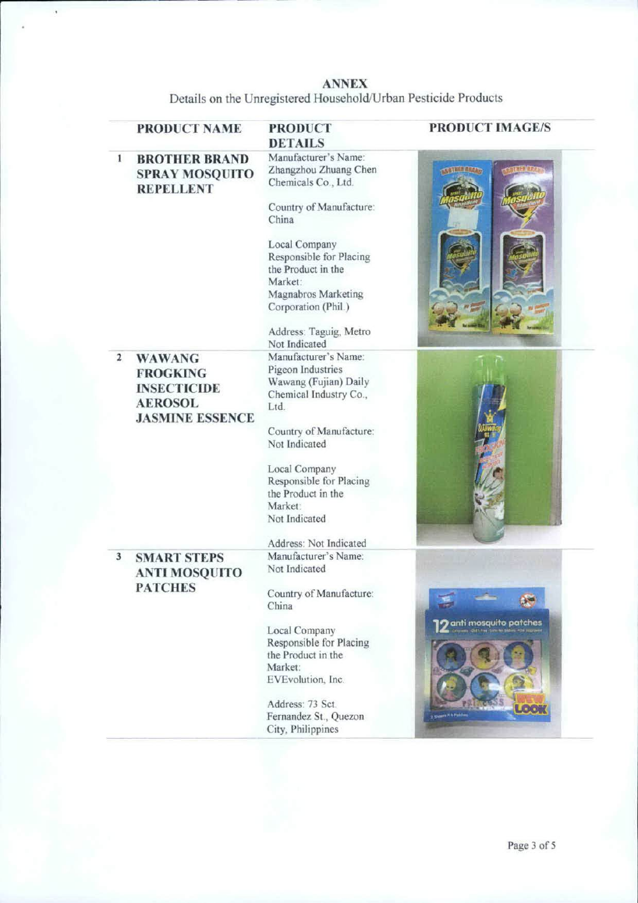**ANNEX**  Details on the Unregistered Household/Urban Pesticide Products

l,

|                | <b>PRODUCT NAME</b>                                                                                | <b>PRODUCT</b><br><b>DETAILS</b>                                                                     | <b>PRODUCT IMAGE/S</b>   |
|----------------|----------------------------------------------------------------------------------------------------|------------------------------------------------------------------------------------------------------|--------------------------|
| 1              | <b>BROTHER BRAND</b><br><b>SPRAY MOSQUITO</b><br><b>REPELLENT</b>                                  | Manufacturer's Name:<br>Zhangzhou Zhuang Chen<br>Chemicals Co., Ltd.                                 | <b>ANDINEE READY</b>     |
|                |                                                                                                    | Country of Manufacture:<br>China                                                                     |                          |
|                |                                                                                                    | Local Company<br>Responsible for Placing<br>the Product in the<br>Market:                            |                          |
|                |                                                                                                    | Magnabros Marketing<br>Corporation (Phil.)                                                           |                          |
|                |                                                                                                    | Address: Taguig, Metro<br>Not Indicated                                                              |                          |
| $\overline{2}$ | <b>WAWANG</b><br><b>FROGKING</b><br><b>INSECTICIDE</b><br><b>AEROSOL</b><br><b>JASMINE ESSENCE</b> | Manufacturer's Name:<br>Pigeon Industries<br>Wawang (Fujian) Daily<br>Chemical Industry Co.,<br>Ltd. |                          |
|                |                                                                                                    | Country of Manufacture:<br>Not Indicated                                                             |                          |
|                |                                                                                                    | Local Company<br>Responsible for Placing<br>the Product in the<br>Market:<br>Not Indicated           |                          |
|                |                                                                                                    | Address: Not Indicated                                                                               |                          |
| $\mathbf{3}$   | <b>SMART STEPS</b><br><b>ANTI MOSQUITO</b>                                                         | Manufacturer's Name:<br>Not Indicated                                                                |                          |
|                | <b>PATCHES</b>                                                                                     | Country of Manufacture:<br>China                                                                     |                          |
|                |                                                                                                    | Local Company<br>Responsible for Placing<br>the Product in the<br>Market:<br>EVEvolution, Inc.       | 22 anti mosquito patches |
|                |                                                                                                    | Address: 73 Sct.<br>Fernandez St., Quezon<br>City, Philippines                                       |                          |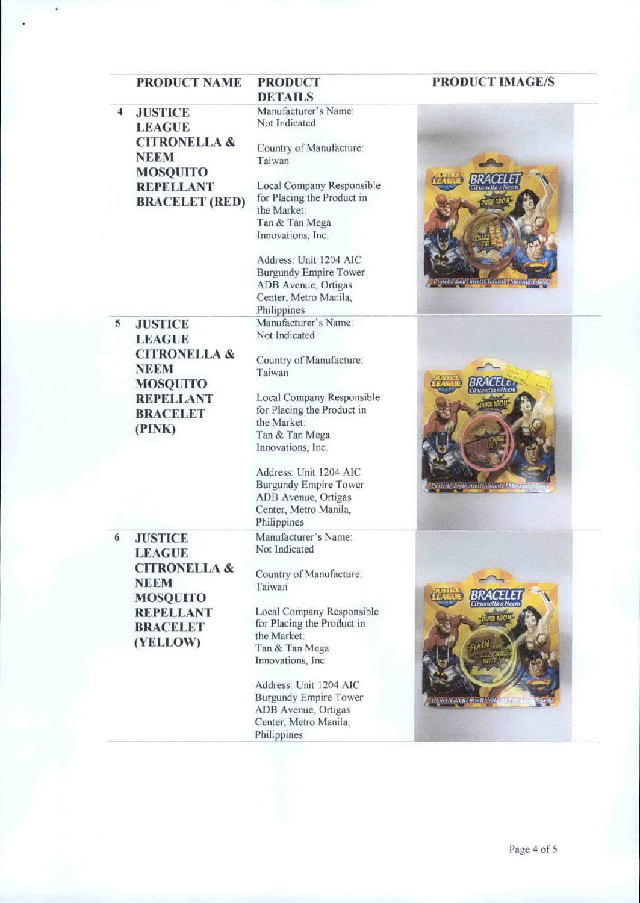#### $\overline{p}$ **PRODUCT NAME PRODUCT**

**DETAILS** 

**JUSTICE LEAGUE CITRONELLA** & **NEEM MOSQUITO REPELLANT BRACELET (RED) 4** 

Manufacturer's Name: Not Indicated

Country of Manufacture: Taiwan

Local Company Responsible for Placing the Product in the Market: Tan & Tan Mega Innovations, Inc.

Address: Unit 1204 AIC Burgundy Empire Tower ADB Avenue. Ortigas Center, Metro Manila<br>Philippines

5 **JUSTICE** Manufacturer's Name: LEAGUE Not Indicated **CITRONELLA** & **NEEM MOSQUITO REPELLANT BRACELET**  (PINK)

6 **JUSTICE LEAGUE** 

**NEEM** 

**REPELLANT BRACELET (YELLOW)** 

Country of Manufacture: Taiwan

Local Company Responsible for Placing the Product in the Market: Tan & Tan Mega Innovations. Inc.

Address: Unit 1204 AlC Burgundy Empire Tower ADB Avenue, Ortigas Center, Metro Manila, Philippines

Country of Manufacture. Taiwan Manufacturer's Name: Not Indicated **CITRONELLA** & **MOSQUITO** 

> Local Company Responsible for Placing the Product in the Market Tan & Tan Mega Innovations, Inc.

Address· Unit 1204 AIC Burgundy Empire Tower AUB Avenue, Ortigas Center, Metro Manila, Philippines

#### **PRODUCT IMAGE/S**